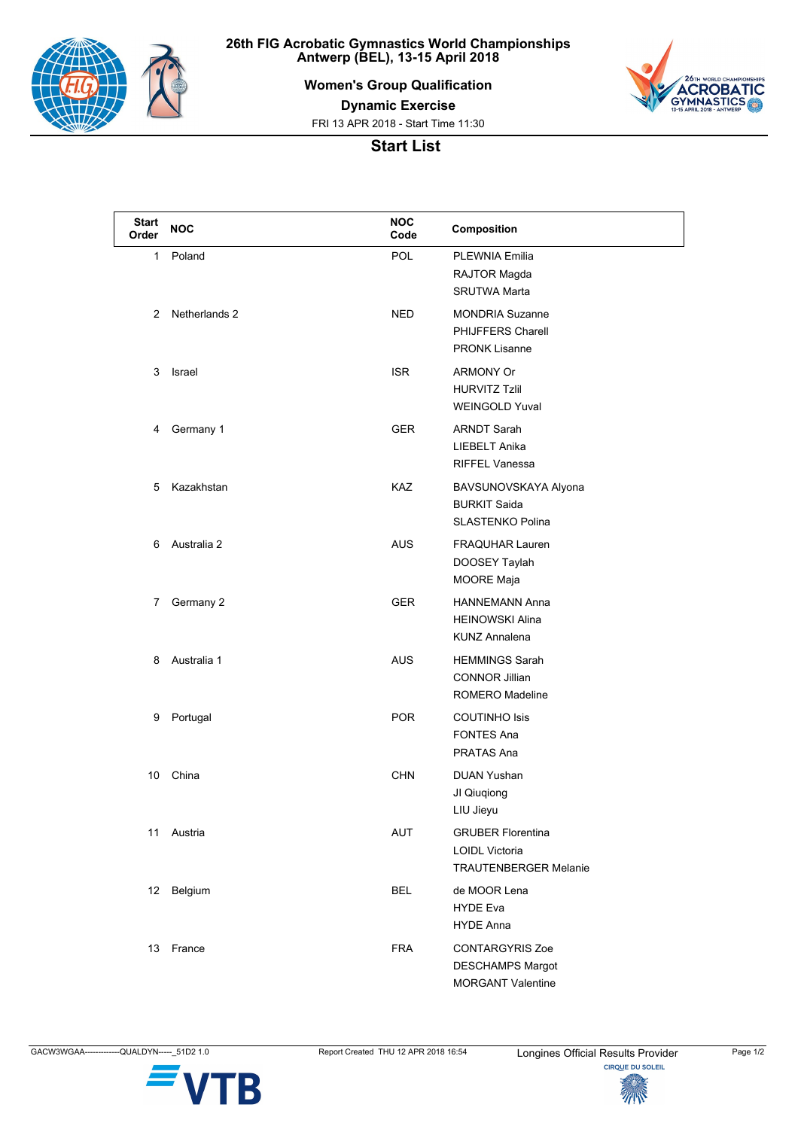

**26th FIG Acrobatic Gymnastics World Championships Antwerp (BEL), 13-15 April 2018**

**Women's Group Qualification**



**Dynamic Exercise**

FRI 13 APR 2018 - Start Time 11:30

## **Start List**

| <b>Start</b><br>Order | <b>NOC</b>    | <b>NOC</b><br>Code | Composition                                                                       |
|-----------------------|---------------|--------------------|-----------------------------------------------------------------------------------|
| 1                     | Poland        | POL                | <b>PLEWNIA Emilia</b><br>RAJTOR Magda<br><b>SRUTWA Marta</b>                      |
| 2                     | Netherlands 2 | NED                | <b>MONDRIA Suzanne</b><br>PHIJFFERS Charell<br><b>PRONK Lisanne</b>               |
| 3                     | Israel        | <b>ISR</b>         | <b>ARMONY Or</b><br><b>HURVITZ Tzlil</b><br><b>WEINGOLD Yuval</b>                 |
| 4                     | Germany 1     | <b>GER</b>         | <b>ARNDT Sarah</b><br>LIEBELT Anika<br><b>RIFFEL Vanessa</b>                      |
| 5                     | Kazakhstan    | <b>KAZ</b>         | BAVSUNOVSKAYA Alyona<br><b>BURKIT Saida</b><br><b>SLASTENKO Polina</b>            |
| 6                     | Australia 2   | <b>AUS</b>         | <b>FRAQUHAR Lauren</b><br>DOOSEY Taylah<br>MOORE Maja                             |
| 7                     | Germany 2     | GER                | <b>HANNEMANN Anna</b><br><b>HEINOWSKI Alina</b><br><b>KUNZ Annalena</b>           |
| 8                     | Australia 1   | <b>AUS</b>         | <b>HEMMINGS Sarah</b><br><b>CONNOR Jillian</b><br><b>ROMERO Madeline</b>          |
| 9                     | Portugal      | <b>POR</b>         | <b>COUTINHO Isis</b><br><b>FONTES Ana</b><br>PRATAS Ana                           |
| 10                    | China         | <b>CHN</b>         | <b>DUAN Yushan</b><br>JI Qiuqiong<br>LIU Jieyu                                    |
| 11                    | Austria       | AUT                | <b>GRUBER Florentina</b><br><b>LOIDL Victoria</b><br><b>TRAUTENBERGER Melanie</b> |
| 12                    | Belgium       | <b>BEL</b>         | de MOOR Lena<br><b>HYDE Eva</b><br><b>HYDE Anna</b>                               |
| 13                    | France        | <b>FRA</b>         | <b>CONTARGYRIS Zoe</b><br><b>DESCHAMPS Margot</b><br><b>MORGANT Valentine</b>     |